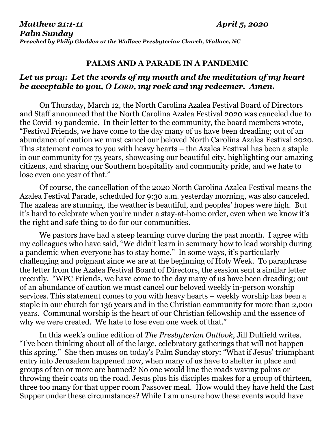## **PALMS AND A PARADE IN A PANDEMIC**

## *Let us pray: Let the words of my mouth and the meditation of my heart be acceptable to you, O LORD, my rock and my redeemer. Amen.*

On Thursday, March 12, the North Carolina Azalea Festival Board of Directors and Staff announced that the North Carolina Azalea Festival 2020 was canceled due to the Covid-19 pandemic. In their letter to the community, the board members wrote, "Festival Friends, we have come to the day many of us have been dreading; out of an abundance of caution we must cancel our beloved North Carolina Azalea Festival 2020. This statement comes to you with heavy hearts – the Azalea Festival has been a staple in our community for 73 years, showcasing our beautiful city, highlighting our amazing citizens, and sharing our Southern hospitality and community pride, and we hate to lose even one year of that."

Of course, the cancellation of the 2020 North Carolina Azalea Festival means the Azalea Festival Parade, scheduled for 9:30 a.m. yesterday morning, was also canceled. The azaleas are stunning, the weather is beautiful, and peoples' hopes were high. But it's hard to celebrate when you're under a stay-at-home order, even when we know it's the right and safe thing to do for our communities.

We pastors have had a steep learning curve during the past month. I agree with my colleagues who have said, "We didn't learn in seminary how to lead worship during a pandemic when everyone has to stay home." In some ways, it's particularly challenging and poignant since we are at the beginning of Holy Week. To paraphrase the letter from the Azalea Festival Board of Directors, the session sent a similar letter recently. "WPC Friends, we have come to the day many of us have been dreading; out of an abundance of caution we must cancel our beloved weekly in-person worship services. This statement comes to you with heavy hearts – weekly worship has been a staple in our church for 136 years and in the Christian community for more than 2,000 years. Communal worship is the heart of our Christian fellowship and the essence of why we were created. We hate to lose even one week of that."

In this week's online edition of *The Presbyterian Outlook*, Jill Duffield writes, "I've been thinking about all of the large, celebratory gatherings that will not happen this spring." She then muses on today's Palm Sunday story: "What if Jesus' triumphant entry into Jerusalem happened now, when many of us have to shelter in place and groups of ten or more are banned? No one would line the roads waving palms or throwing their coats on the road. Jesus plus his disciples makes for a group of thirteen, three too many for that upper room Passover meal. How would they have held the Last Supper under these circumstances? While I am unsure how these events would have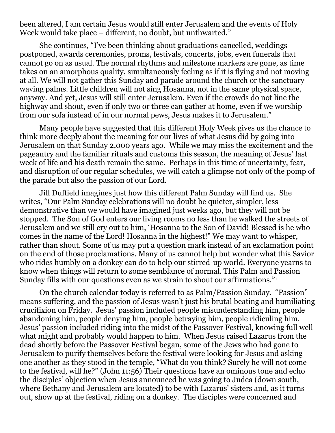been altered, I am certain Jesus would still enter Jerusalem and the events of Holy Week would take place – different, no doubt, but unthwarted."

She continues, "I've been thinking about graduations cancelled, weddings postponed, awards ceremonies, proms, festivals, concerts, jobs, even funerals that cannot go on as usual. The normal rhythms and milestone markers are gone, as time takes on an amorphous quality, simultaneously feeling as if it is flying and not moving at all. We will not gather this Sunday and parade around the church or the sanctuary waving palms. Little children will not sing Hosanna, not in the same physical space, anyway. And yet, Jesus will still enter Jerusalem. Even if the crowds do not line the highway and shout, even if only two or three can gather at home, even if we worship from our sofa instead of in our normal pews, Jesus makes it to Jerusalem."

Many people have suggested that this different Holy Week gives us the chance to think more deeply about the meaning for our lives of what Jesus did by going into Jerusalem on that Sunday 2,000 years ago. While we may miss the excitement and the pageantry and the familiar rituals and customs this season, the meaning of Jesus' last week of life and his death remain the same. Perhaps in this time of uncertainty, fear, and disruption of our regular schedules, we will catch a glimpse not only of the pomp of the parade but also the passion of our Lord.

Jill Duffield imagines just how this different Palm Sunday will find us. She writes, "Our Palm Sunday celebrations will no doubt be quieter, simpler, less demonstrative than we would have imagined just weeks ago, but they will not be stopped. The Son of God enters our living rooms no less than he walked the streets of Jerusalem and we still cry out to him, 'Hosanna to the Son of David! Blessed is he who comes in the name of the Lord! Hosanna in the highest!" We may want to whisper, rather than shout. Some of us may put a question mark instead of an exclamation point on the end of those proclamations. Many of us cannot help but wonder what this Savior who rides humbly on a donkey can do to help our stirred-up world. Everyone yearns to know when things will return to some semblance of normal. This Palm and Passion Sunday fills with our questions even as we strain to shout our affirmations."<sup>1</sup>

On the church calendar today is referred to as Palm/Passion Sunday. "Passion" means suffering, and the passion of Jesus wasn't just his brutal beating and humiliating crucifixion on Friday. Jesus' passion included people misunderstanding him, people abandoning him, people denying him, people betraying him, people ridiculing him. Jesus' passion included riding into the midst of the Passover Festival, knowing full well what might and probably would happen to him. When Jesus raised Lazarus from the dead shortly before the Passover Festival began, some of the Jews who had gone to Jerusalem to purify themselves before the festival were looking for Jesus and asking one another as they stood in the temple, "What do you think? Surely he will not come to the festival, will he?" (John 11:56) Their questions have an ominous tone and echo the disciples' objection when Jesus announced he was going to Judea (down south, where Bethany and Jerusalem are located) to be with Lazarus' sisters and, as it turns out, show up at the festival, riding on a donkey. The disciples were concerned and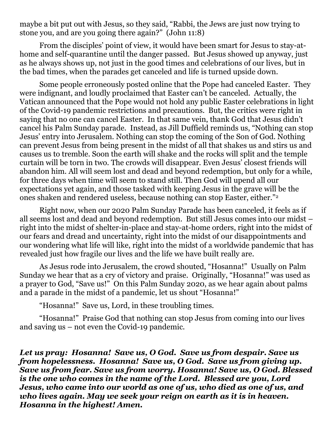maybe a bit put out with Jesus, so they said, "Rabbi, the Jews are just now trying to stone you, and are you going there again?" (John 11:8)

From the disciples' point of view, it would have been smart for Jesus to stay-athome and self-quarantine until the danger passed. But Jesus showed up anyway, just as he always shows up, not just in the good times and celebrations of our lives, but in the bad times, when the parades get canceled and life is turned upside down.

Some people erroneously posted online that the Pope had canceled Easter. They were indignant, and loudly proclaimed that Easter can't be canceled. Actually, the Vatican announced that the Pope would not hold any public Easter celebrations in light of the Covid-19 pandemic restrictions and precautions. But, the critics were right in saying that no one can cancel Easter. In that same vein, thank God that Jesus didn't cancel his Palm Sunday parade. Instead, as Jill Duffield reminds us, "Nothing can stop Jesus' entry into Jerusalem. Nothing can stop the coming of the Son of God. Nothing can prevent Jesus from being present in the midst of all that shakes us and stirs us and causes us to tremble. Soon the earth will shake and the rocks will split and the temple curtain will be torn in two. The crowds will disappear. Even Jesus' closest friends will abandon him. All will seem lost and dead and beyond redemption, but only for a while, for three days when time will seem to stand still. Then God will upend all our expectations yet again, and those tasked with keeping Jesus in the grave will be the ones shaken and rendered useless, because nothing can stop Easter, either."<sup>2</sup>

Right now, when our 2020 Palm Sunday Parade has been canceled, it feels as if all seems lost and dead and beyond redemption. But still Jesus comes into our midst – right into the midst of shelter-in-place and stay-at-home orders, right into the midst of our fears and dread and uncertainty, right into the midst of our disappointments and our wondering what life will like, right into the midst of a worldwide pandemic that has revealed just how fragile our lives and the life we have built really are.

As Jesus rode into Jerusalem, the crowd shouted, "Hosanna!" Usually on Palm Sunday we hear that as a cry of victory and praise. Originally, "Hosanna!" was used as a prayer to God, "Save us!" On this Palm Sunday 2020, as we hear again about palms and a parade in the midst of a pandemic, let us shout "Hosanna!"

"Hosanna!" Save us, Lord, in these troubling times.

"Hosanna!" Praise God that nothing can stop Jesus from coming into our lives and saving us – not even the Covid-19 pandemic.

*Let us pray: Hosanna! Save us, O God. Save us from despair. Save us from hopelessness. Hosanna! Save us, O God. Save us from giving up. Save us from fear. Save us from worry. Hosanna! Save us, O God. Blessed is the one who comes in the name of the Lord. Blessed are you, Lord Jesus, who came into our world as one of us, who died as one of us, and who lives again. May we seek your reign on earth as it is in heaven. Hosanna in the highest! Amen.*